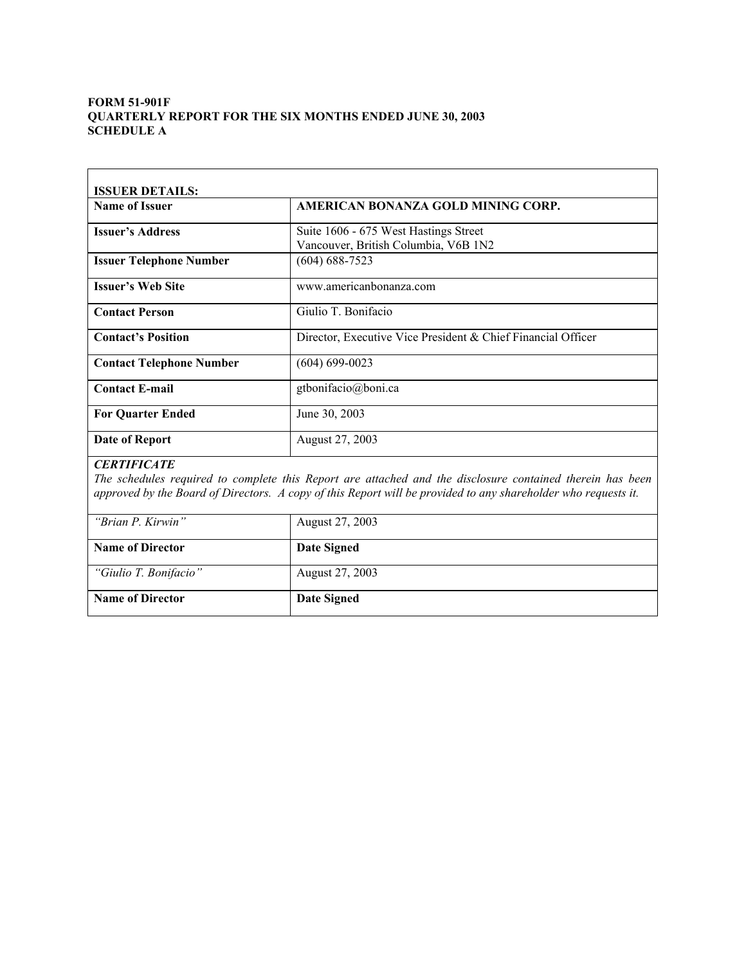## **FORM 51-901F QUARTERLY REPORT FOR THE SIX MONTHS ENDED JUNE 30, 2003 SCHEDULE A**

| <b>ISSUER DETAILS:</b>          |                                                                               |
|---------------------------------|-------------------------------------------------------------------------------|
| <b>Name of Issuer</b>           | AMERICAN BONANZA GOLD MINING CORP.                                            |
| <b>Issuer's Address</b>         | Suite 1606 - 675 West Hastings Street<br>Vancouver, British Columbia, V6B 1N2 |
| <b>Issuer Telephone Number</b>  | $(604)$ 688-7523                                                              |
| <b>Issuer's Web Site</b>        | www.americanbonanza.com                                                       |
| <b>Contact Person</b>           | Giulio T. Bonifacio                                                           |
| <b>Contact's Position</b>       | Director, Executive Vice President & Chief Financial Officer                  |
| <b>Contact Telephone Number</b> | $(604) 699 - 0023$                                                            |
| <b>Contact E-mail</b>           | gtbonifacio@boni.ca                                                           |
| <b>For Ouarter Ended</b>        | June 30, 2003                                                                 |
| Date of Report                  | August 27, 2003                                                               |

### *CERTIFICATE*

*The schedules required to complete this Report are attached and the disclosure contained therein has been approved by the Board of Directors. A copy of this Report will be provided to any shareholder who requests it.* 

| "Brian P. Kirwin"       | August 27, 2003    |
|-------------------------|--------------------|
| <b>Name of Director</b> | Date Signed        |
| "Giulio T. Bonifacio"   | August 27, 2003    |
| <b>Name of Director</b> | <b>Date Signed</b> |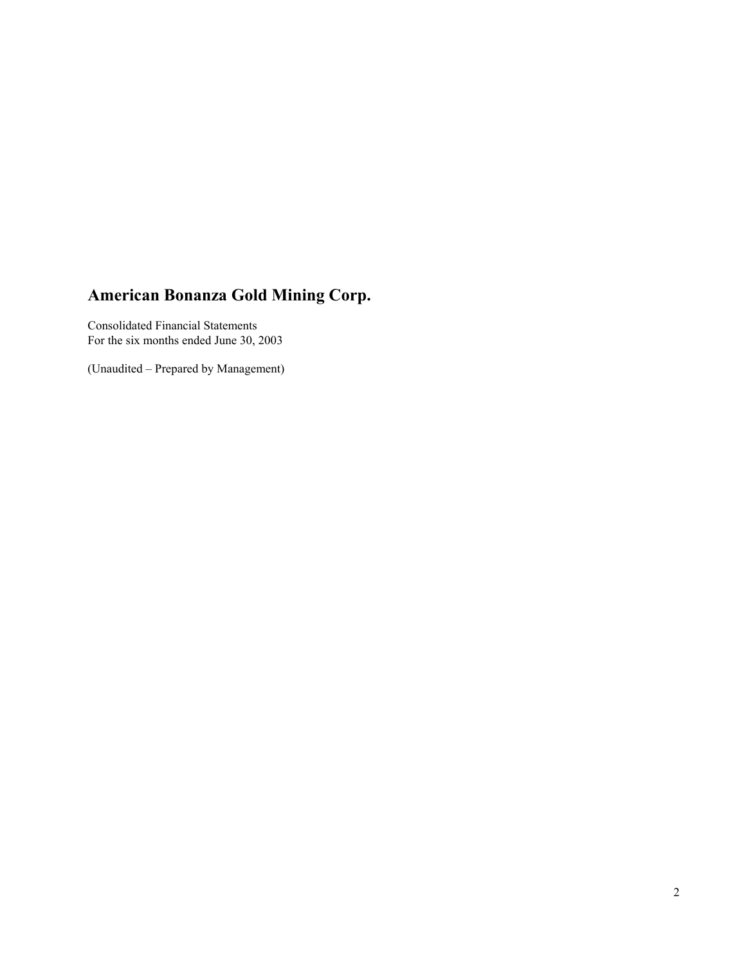Consolidated Financial Statements For the six months ended June 30, 2003

(Unaudited – Prepared by Management)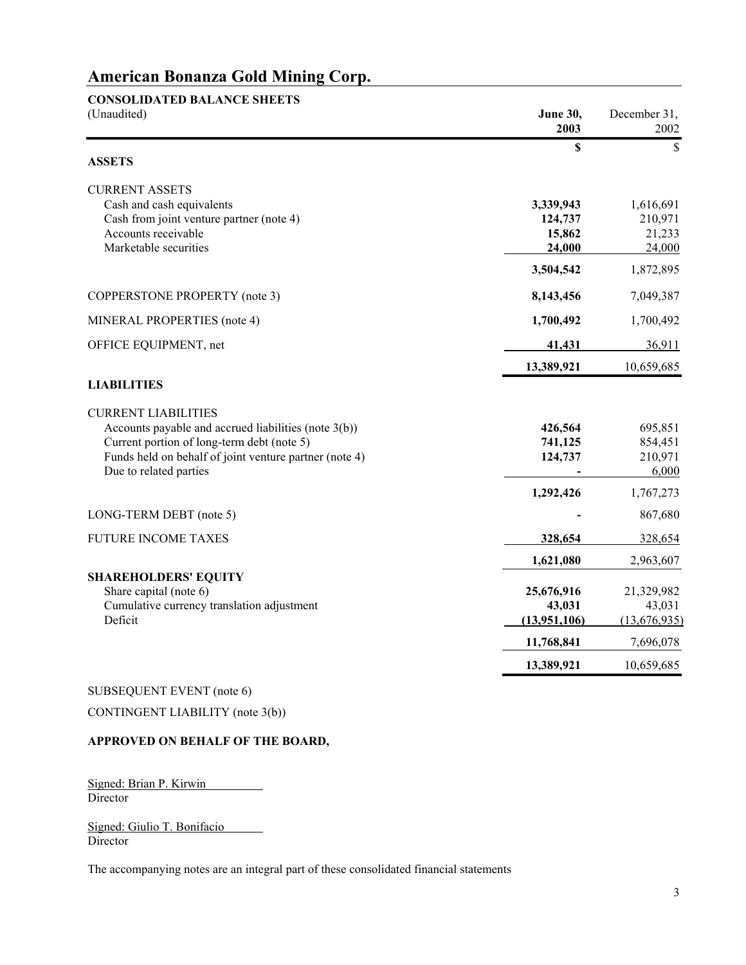| <b>CONSOLIDATED BALANCE SHEETS</b>                     |                         |                      |
|--------------------------------------------------------|-------------------------|----------------------|
| (Unaudited)                                            | <b>June 30,</b><br>2003 | December 31,<br>2002 |
|                                                        | \$                      | \$                   |
| <b>ASSETS</b>                                          |                         |                      |
| <b>CURRENT ASSETS</b>                                  |                         |                      |
| Cash and cash equivalents                              | 3,339,943               | 1,616,691            |
| Cash from joint venture partner (note 4)               | 124,737                 | 210,971              |
| Accounts receivable                                    | 15,862                  | 21,233               |
| Marketable securities                                  | 24,000                  | 24,000               |
|                                                        | 3,504,542               | 1,872,895            |
| COPPERSTONE PROPERTY (note 3)                          | 8,143,456               | 7,049,387            |
| MINERAL PROPERTIES (note 4)                            | 1,700,492               | 1,700,492            |
| OFFICE EQUIPMENT, net                                  | 41,431                  | 36,911               |
|                                                        | 13,389,921              | 10,659,685           |
| <b>LIABILITIES</b>                                     |                         |                      |
| <b>CURRENT LIABILITIES</b>                             |                         |                      |
| Accounts payable and accrued liabilities (note 3(b))   | 426,564                 | 695,851              |
| Current portion of long-term debt (note 5)             | 741,125                 | 854,451              |
| Funds held on behalf of joint venture partner (note 4) | 124,737                 | 210,971              |
| Due to related parties                                 |                         | 6,000                |
|                                                        | 1,292,426               | 1,767,273            |
| LONG-TERM DEBT (note 5)                                |                         | 867,680              |
| <b>FUTURE INCOME TAXES</b>                             | 328,654                 | 328,654              |
|                                                        | 1,621,080               | 2,963,607            |
| <b>SHAREHOLDERS' EQUITY</b>                            |                         |                      |
| Share capital (note 6)                                 | 25,676,916              | 21,329,982           |
| Cumulative currency translation adjustment<br>Deficit  | 43,031                  | 43,031               |
|                                                        | (13,951,106)            | (13,676,935)         |
|                                                        | 11,768,841              | 7,696,078            |
|                                                        | 13,389,921              | 10,659,685           |

SUBSEQUENT EVENT (note 6)

CONTINGENT LIABILITY (note 3(b))

### **APPROVED ON BEHALF OF THE BOARD,**

Signed: Brian P. Kirwin Director

Signed: Giulio T. Bonifacio Director

The accompanying notes are an integral part of these consolidated financial statements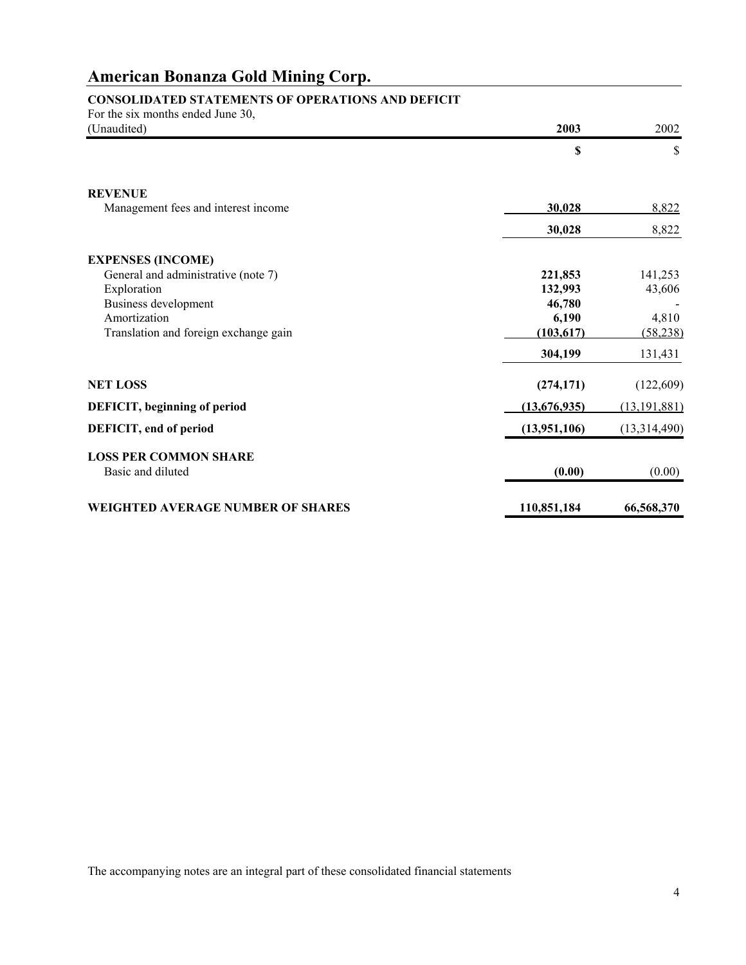# **CONSOLIDATED STATEMENTS OF OPERATIONS AND DEFICIT**

| For the six months ended June 30,        | 2003         | 2002           |
|------------------------------------------|--------------|----------------|
| (Unaudited)                              |              |                |
|                                          | \$           | \$             |
| <b>REVENUE</b>                           |              |                |
| Management fees and interest income      | 30,028       | 8,822          |
|                                          | 30,028       | 8,822          |
| <b>EXPENSES (INCOME)</b>                 |              |                |
| General and administrative (note 7)      | 221,853      | 141,253        |
| Exploration                              | 132,993      | 43,606         |
| <b>Business development</b>              | 46,780       |                |
| Amortization                             | 6,190        | 4,810          |
| Translation and foreign exchange gain    | (103, 617)   | (58, 238)      |
|                                          | 304,199      | 131,431        |
| <b>NET LOSS</b>                          | (274, 171)   | (122,609)      |
| DEFICIT, beginning of period             | (13,676,935) | (13, 191, 881) |
| DEFICIT, end of period                   | (13,951,106) | (13,314,490)   |
| <b>LOSS PER COMMON SHARE</b>             |              |                |
| Basic and diluted                        | (0.00)       | (0.00)         |
| <b>WEIGHTED AVERAGE NUMBER OF SHARES</b> | 110,851,184  | 66,568,370     |

The accompanying notes are an integral part of these consolidated financial statements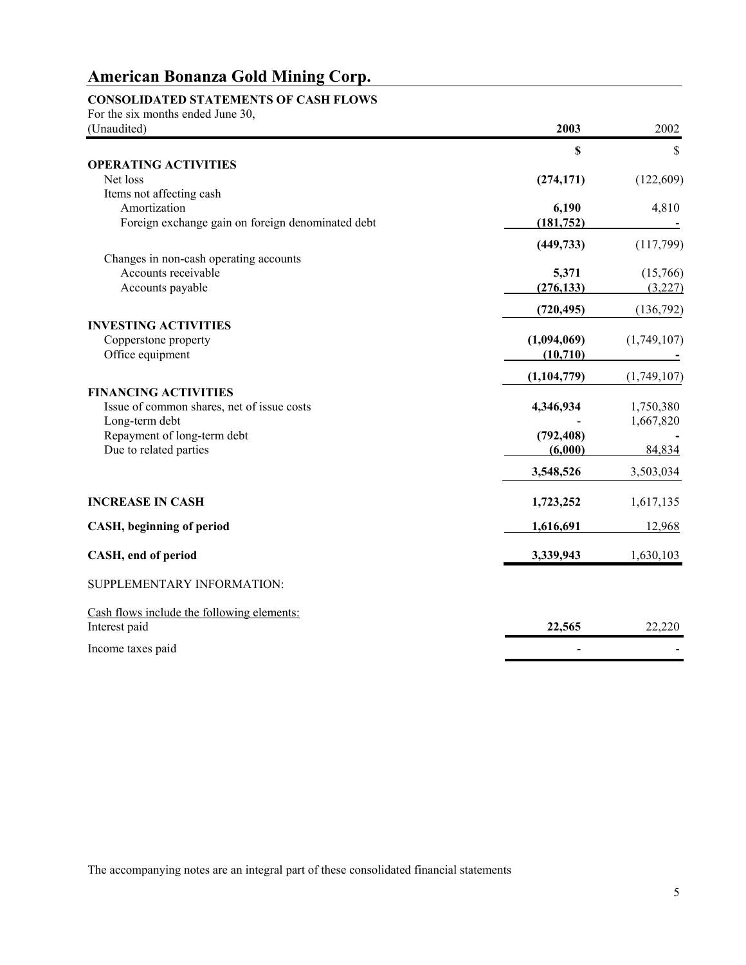# **CONSOLIDATED STATEMENTS OF CASH FLOWS**

| For the six months ended June 30,                 |               |             |
|---------------------------------------------------|---------------|-------------|
| (Unaudited)                                       | 2003          | 2002        |
| <b>OPERATING ACTIVITIES</b>                       | \$            | \$          |
| Net loss                                          | (274, 171)    | (122, 609)  |
| Items not affecting cash                          |               |             |
| Amortization                                      | 6,190         | 4,810       |
| Foreign exchange gain on foreign denominated debt | (181, 752)    |             |
|                                                   |               |             |
|                                                   | (449, 733)    | (117,799)   |
| Changes in non-cash operating accounts            |               |             |
| Accounts receivable                               | 5,371         | (15,766)    |
| Accounts payable                                  | (276, 133)    | (3,227)     |
|                                                   | (720, 495)    | (136,792)   |
| <b>INVESTING ACTIVITIES</b>                       |               |             |
| Copperstone property                              | (1,094,069)   | (1,749,107) |
| Office equipment                                  | (10, 710)     |             |
|                                                   | (1, 104, 779) | (1,749,107) |
| <b>FINANCING ACTIVITIES</b>                       |               |             |
| Issue of common shares, net of issue costs        | 4,346,934     | 1,750,380   |
| Long-term debt                                    |               | 1,667,820   |
| Repayment of long-term debt                       | (792, 408)    |             |
| Due to related parties                            | (6,000)       | 84,834      |
|                                                   | 3,548,526     | 3,503,034   |
| <b>INCREASE IN CASH</b>                           | 1,723,252     | 1,617,135   |
|                                                   |               |             |
| CASH, beginning of period                         | 1,616,691     | 12,968      |
| CASH, end of period                               | 3,339,943     | 1,630,103   |
| SUPPLEMENTARY INFORMATION:                        |               |             |
| Cash flows include the following elements:        |               |             |
| Interest paid                                     | 22,565        | 22,220      |
| Income taxes paid                                 |               |             |

The accompanying notes are an integral part of these consolidated financial statements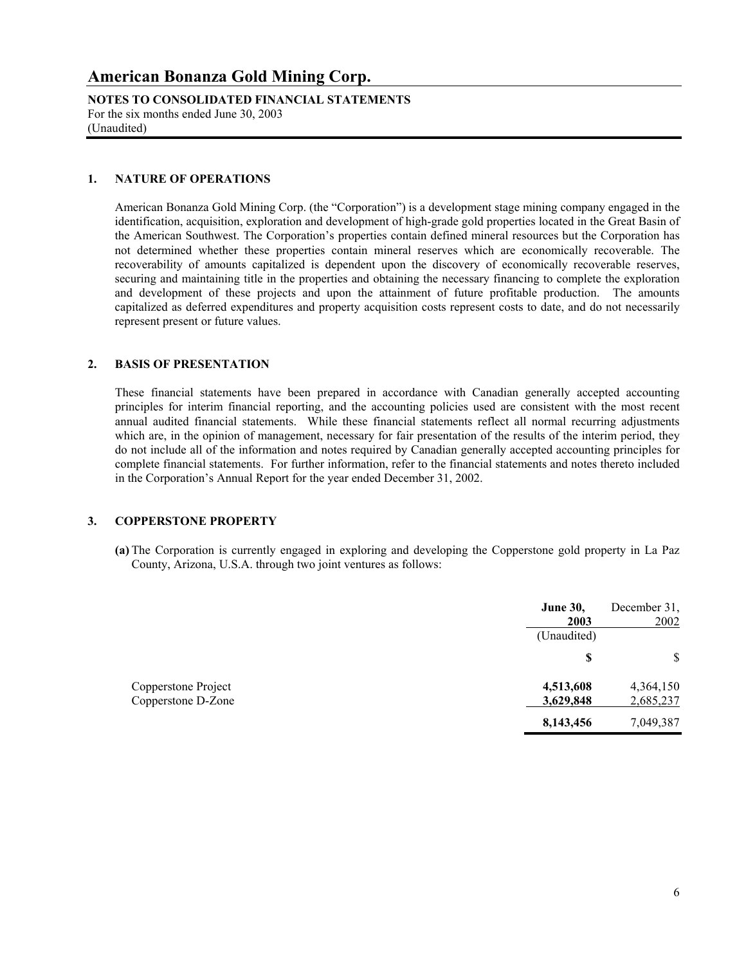**NOTES TO CONSOLIDATED FINANCIAL STATEMENTS** For the six months ended June 30, 2003 (Unaudited)

#### **1. NATURE OF OPERATIONS**

American Bonanza Gold Mining Corp. (the "Corporation") is a development stage mining company engaged in the identification, acquisition, exploration and development of high-grade gold properties located in the Great Basin of the American Southwest. The Corporation's properties contain defined mineral resources but the Corporation has not determined whether these properties contain mineral reserves which are economically recoverable. The recoverability of amounts capitalized is dependent upon the discovery of economically recoverable reserves, securing and maintaining title in the properties and obtaining the necessary financing to complete the exploration and development of these projects and upon the attainment of future profitable production. The amounts capitalized as deferred expenditures and property acquisition costs represent costs to date, and do not necessarily represent present or future values.

#### **2. BASIS OF PRESENTATION**

These financial statements have been prepared in accordance with Canadian generally accepted accounting principles for interim financial reporting, and the accounting policies used are consistent with the most recent annual audited financial statements. While these financial statements reflect all normal recurring adjustments which are, in the opinion of management, necessary for fair presentation of the results of the interim period, they do not include all of the information and notes required by Canadian generally accepted accounting principles for complete financial statements. For further information, refer to the financial statements and notes thereto included in the Corporation's Annual Report for the year ended December 31, 2002.

#### **3. COPPERSTONE PROPERTY**

**(a)** The Corporation is currently engaged in exploring and developing the Copperstone gold property in La Paz County, Arizona, U.S.A. through two joint ventures as follows:

|                                           | <b>June 30,</b><br>2003 | December 31,<br>2002   |
|-------------------------------------------|-------------------------|------------------------|
|                                           | (Unaudited)             |                        |
|                                           | -S                      | $\mathbb{S}$           |
| Copperstone Project<br>Copperstone D-Zone | 4,513,608<br>3,629,848  | 4,364,150<br>2,685,237 |
|                                           | 8,143,456               | 7,049,387              |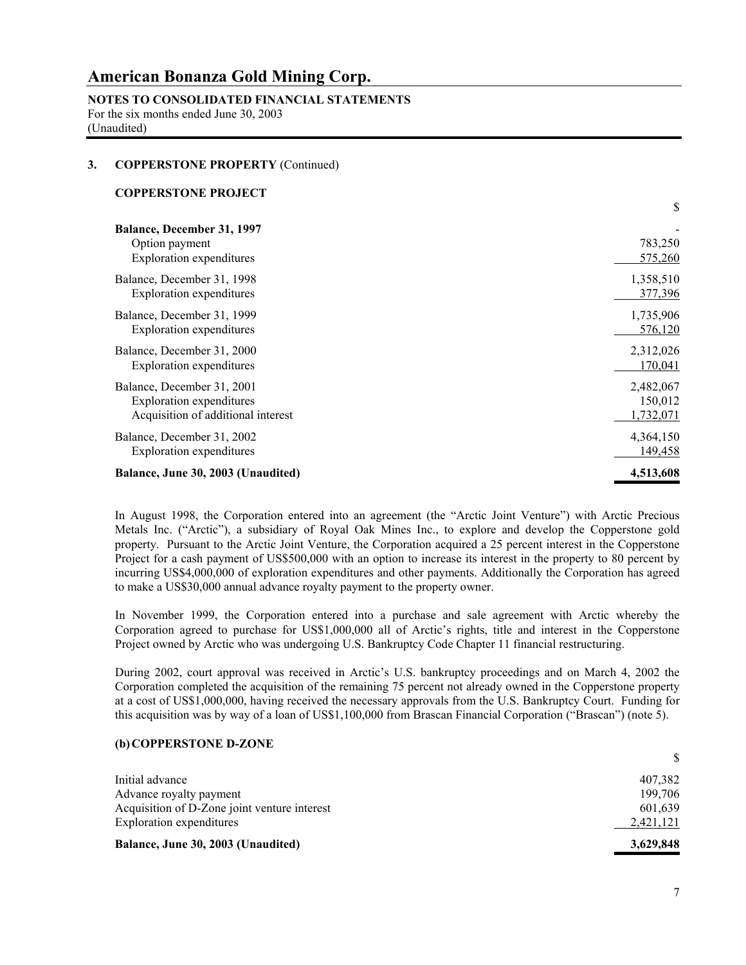**NOTES TO CONSOLIDATED FINANCIAL STATEMENTS** For the six months ended June 30, 2003 (Unaudited)

### **3. COPPERSTONE PROPERTY** (Continued)

#### **COPPERSTONE PROJECT**

|                                                                                        | \$                 |
|----------------------------------------------------------------------------------------|--------------------|
| <b>Balance, December 31, 1997</b><br>Option payment<br><b>Exploration</b> expenditures | 783,250<br>575,260 |
| Balance, December 31, 1998                                                             | 1,358,510          |
| Exploration expenditures                                                               | 377,396            |
| Balance, December 31, 1999                                                             | 1,735,906          |
| Exploration expenditures                                                               | 576,120            |
| Balance, December 31, 2000                                                             | 2,312,026          |
| Exploration expenditures                                                               | 170,041            |
| Balance, December 31, 2001                                                             | 2,482,067          |
| <b>Exploration</b> expenditures                                                        | 150,012            |
| Acquisition of additional interest                                                     | 1,732,071          |
| Balance, December 31, 2002                                                             | 4,364,150          |
| <b>Exploration</b> expenditures                                                        | 149,458            |
| Balance, June 30, 2003 (Unaudited)                                                     | 4,513,608          |

In August 1998, the Corporation entered into an agreement (the "Arctic Joint Venture") with Arctic Precious Metals Inc. ("Arctic"), a subsidiary of Royal Oak Mines Inc., to explore and develop the Copperstone gold property. Pursuant to the Arctic Joint Venture, the Corporation acquired a 25 percent interest in the Copperstone Project for a cash payment of US\$500,000 with an option to increase its interest in the property to 80 percent by incurring US\$4,000,000 of exploration expenditures and other payments. Additionally the Corporation has agreed to make a US\$30,000 annual advance royalty payment to the property owner.

 In November 1999, the Corporation entered into a purchase and sale agreement with Arctic whereby the Corporation agreed to purchase for US\$1,000,000 all of Arctic's rights, title and interest in the Copperstone Project owned by Arctic who was undergoing U.S. Bankruptcy Code Chapter 11 financial restructuring.

 During 2002, court approval was received in Arctic's U.S. bankruptcy proceedings and on March 4, 2002 the Corporation completed the acquisition of the remaining 75 percent not already owned in the Copperstone property at a cost of US\$1,000,000, having received the necessary approvals from the U.S. Bankruptcy Court. Funding for this acquisition was by way of a loan of US\$1,100,000 from Brascan Financial Corporation ("Brascan") (note 5).

### **(b)COPPERSTONE D-ZONE**

| Balance, June 30, 2003 (Unaudited)           | 3,629,848 |
|----------------------------------------------|-----------|
| <b>Exploration</b> expenditures              | 2,421,121 |
| Acquisition of D-Zone joint venture interest | 601,639   |
| Advance royalty payment                      | 199.706   |
| Initial advance                              | 407,382   |
|                                              |           |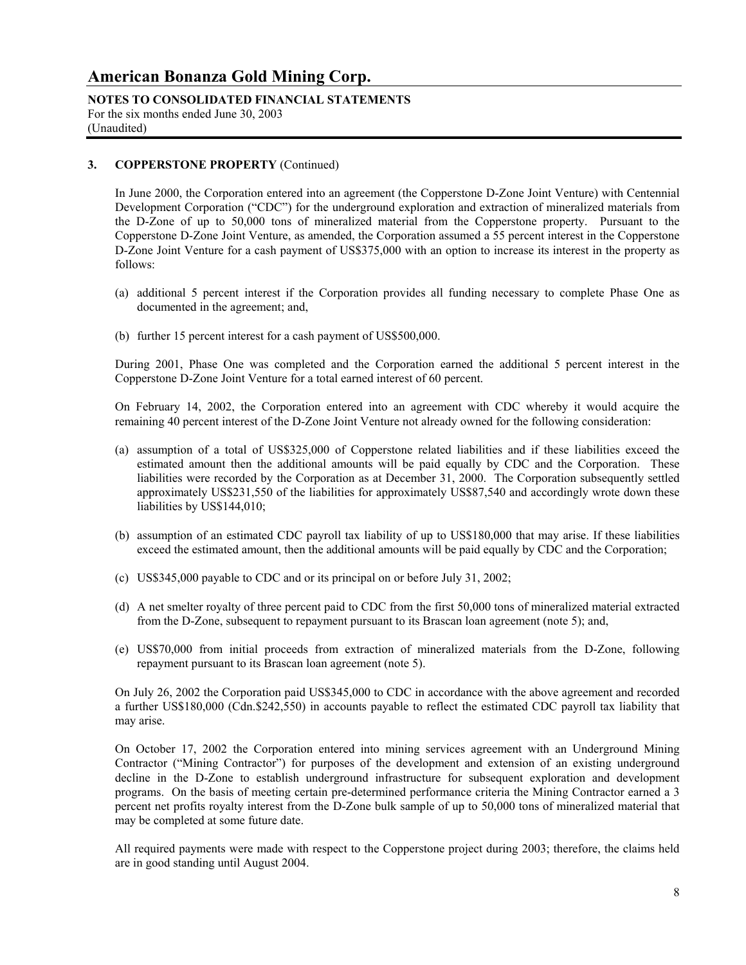**NOTES TO CONSOLIDATED FINANCIAL STATEMENTS** For the six months ended June 30, 2003 (Unaudited)

### **3. COPPERSTONE PROPERTY** (Continued)

 In June 2000, the Corporation entered into an agreement (the Copperstone D-Zone Joint Venture) with Centennial Development Corporation ("CDC") for the underground exploration and extraction of mineralized materials from the D-Zone of up to 50,000 tons of mineralized material from the Copperstone property. Pursuant to the Copperstone D-Zone Joint Venture, as amended, the Corporation assumed a 55 percent interest in the Copperstone D-Zone Joint Venture for a cash payment of US\$375,000 with an option to increase its interest in the property as follows:

- (a) additional 5 percent interest if the Corporation provides all funding necessary to complete Phase One as documented in the agreement; and,
- (b) further 15 percent interest for a cash payment of US\$500,000.

 During 2001, Phase One was completed and the Corporation earned the additional 5 percent interest in the Copperstone D-Zone Joint Venture for a total earned interest of 60 percent.

 On February 14, 2002, the Corporation entered into an agreement with CDC whereby it would acquire the remaining 40 percent interest of the D-Zone Joint Venture not already owned for the following consideration:

- (a) assumption of a total of US\$325,000 of Copperstone related liabilities and if these liabilities exceed the estimated amount then the additional amounts will be paid equally by CDC and the Corporation. These liabilities were recorded by the Corporation as at December 31, 2000. The Corporation subsequently settled approximately US\$231,550 of the liabilities for approximately US\$87,540 and accordingly wrote down these liabilities by US\$144,010;
- (b) assumption of an estimated CDC payroll tax liability of up to US\$180,000 that may arise. If these liabilities exceed the estimated amount, then the additional amounts will be paid equally by CDC and the Corporation;
- (c) US\$345,000 payable to CDC and or its principal on or before July 31, 2002;
- (d) A net smelter royalty of three percent paid to CDC from the first 50,000 tons of mineralized material extracted from the D-Zone, subsequent to repayment pursuant to its Brascan loan agreement (note 5); and,
- (e) US\$70,000 from initial proceeds from extraction of mineralized materials from the D-Zone, following repayment pursuant to its Brascan loan agreement (note 5).

On July 26, 2002 the Corporation paid US\$345,000 to CDC in accordance with the above agreement and recorded a further US\$180,000 (Cdn.\$242,550) in accounts payable to reflect the estimated CDC payroll tax liability that may arise.

 On October 17, 2002 the Corporation entered into mining services agreement with an Underground Mining Contractor ("Mining Contractor") for purposes of the development and extension of an existing underground decline in the D-Zone to establish underground infrastructure for subsequent exploration and development programs. On the basis of meeting certain pre-determined performance criteria the Mining Contractor earned a 3 percent net profits royalty interest from the D-Zone bulk sample of up to 50,000 tons of mineralized material that may be completed at some future date.

 All required payments were made with respect to the Copperstone project during 2003; therefore, the claims held are in good standing until August 2004.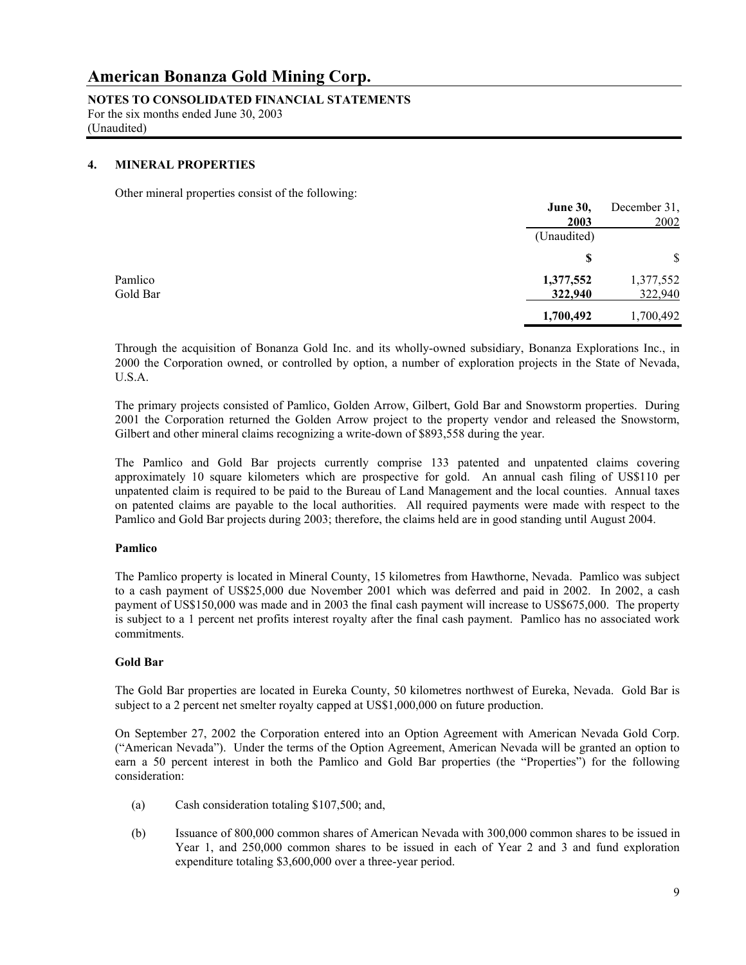**NOTES TO CONSOLIDATED FINANCIAL STATEMENTS** For the six months ended June 30, 2003

(Unaudited)

#### **4. MINERAL PROPERTIES**

Other mineral properties consist of the following:

|          | <b>June 30,</b> | December 31, |
|----------|-----------------|--------------|
|          | 2003            | 2002         |
|          | (Unaudited)     |              |
|          | S               | \$           |
| Pamlico  | 1,377,552       | 1,377,552    |
| Gold Bar | 322,940         | 322,940      |
|          | 1,700,492       | 1,700,492    |

 Through the acquisition of Bonanza Gold Inc. and its wholly-owned subsidiary, Bonanza Explorations Inc., in 2000 the Corporation owned, or controlled by option, a number of exploration projects in the State of Nevada, U.S.A.

 The primary projects consisted of Pamlico, Golden Arrow, Gilbert, Gold Bar and Snowstorm properties. During 2001 the Corporation returned the Golden Arrow project to the property vendor and released the Snowstorm, Gilbert and other mineral claims recognizing a write-down of \$893,558 during the year.

 The Pamlico and Gold Bar projects currently comprise 133 patented and unpatented claims covering approximately 10 square kilometers which are prospective for gold. An annual cash filing of US\$110 per unpatented claim is required to be paid to the Bureau of Land Management and the local counties. Annual taxes on patented claims are payable to the local authorities. All required payments were made with respect to the Pamlico and Gold Bar projects during 2003; therefore, the claims held are in good standing until August 2004.

#### **Pamlico**

 The Pamlico property is located in Mineral County, 15 kilometres from Hawthorne, Nevada. Pamlico was subject to a cash payment of US\$25,000 due November 2001 which was deferred and paid in 2002. In 2002, a cash payment of US\$150,000 was made and in 2003 the final cash payment will increase to US\$675,000. The property is subject to a 1 percent net profits interest royalty after the final cash payment. Pamlico has no associated work commitments.

#### **Gold Bar**

 The Gold Bar properties are located in Eureka County, 50 kilometres northwest of Eureka, Nevada. Gold Bar is subject to a 2 percent net smelter royalty capped at US\$1,000,000 on future production.

On September 27, 2002 the Corporation entered into an Option Agreement with American Nevada Gold Corp. ("American Nevada"). Under the terms of the Option Agreement, American Nevada will be granted an option to earn a 50 percent interest in both the Pamlico and Gold Bar properties (the "Properties") for the following consideration:

- (a) Cash consideration totaling \$107,500; and,
- (b) Issuance of 800,000 common shares of American Nevada with 300,000 common shares to be issued in Year 1, and 250,000 common shares to be issued in each of Year 2 and 3 and fund exploration expenditure totaling \$3,600,000 over a three-year period.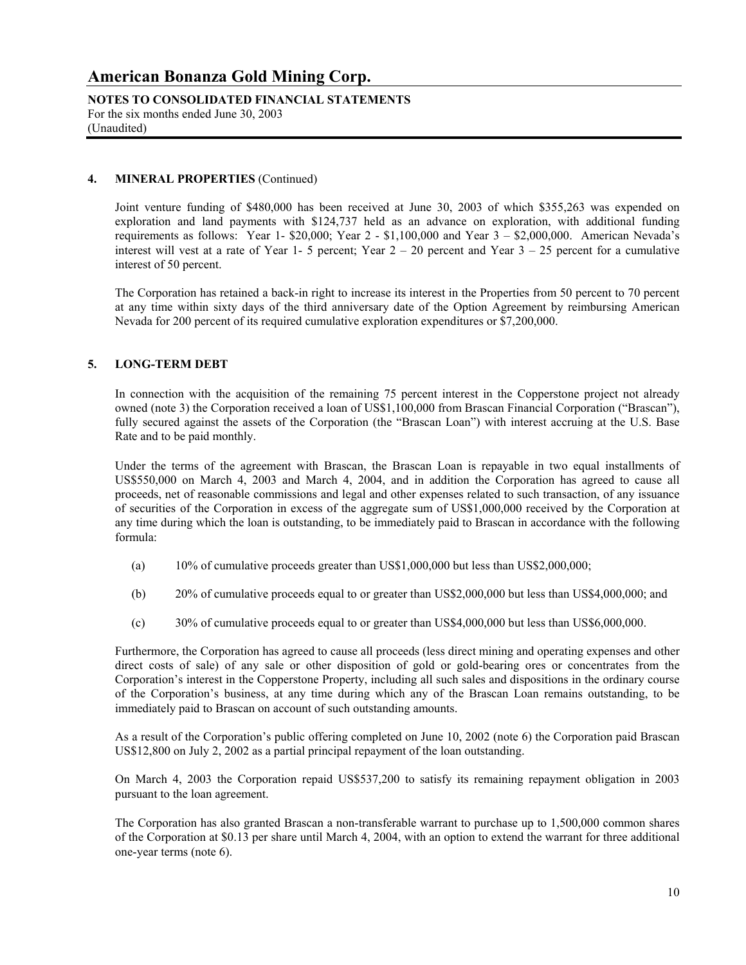**NOTES TO CONSOLIDATED FINANCIAL STATEMENTS** For the six months ended June 30, 2003 (Unaudited)

#### **4. MINERAL PROPERTIES** (Continued)

Joint venture funding of \$480,000 has been received at June 30, 2003 of which \$355,263 was expended on exploration and land payments with \$124,737 held as an advance on exploration, with additional funding requirements as follows: Year 1- \$20,000; Year 2 - \$1,100,000 and Year 3 – \$2,000,000. American Nevada's interest will vest at a rate of Year 1- 5 percent; Year  $2 - 20$  percent and Year  $3 - 25$  percent for a cumulative interest of 50 percent.

The Corporation has retained a back-in right to increase its interest in the Properties from 50 percent to 70 percent at any time within sixty days of the third anniversary date of the Option Agreement by reimbursing American Nevada for 200 percent of its required cumulative exploration expenditures or \$7,200,000.

#### **5. LONG-TERM DEBT**

In connection with the acquisition of the remaining 75 percent interest in the Copperstone project not already owned (note 3) the Corporation received a loan of US\$1,100,000 from Brascan Financial Corporation ("Brascan"), fully secured against the assets of the Corporation (the "Brascan Loan") with interest accruing at the U.S. Base Rate and to be paid monthly.

Under the terms of the agreement with Brascan, the Brascan Loan is repayable in two equal installments of US\$550,000 on March 4, 2003 and March 4, 2004, and in addition the Corporation has agreed to cause all proceeds, net of reasonable commissions and legal and other expenses related to such transaction, of any issuance of securities of the Corporation in excess of the aggregate sum of US\$1,000,000 received by the Corporation at any time during which the loan is outstanding, to be immediately paid to Brascan in accordance with the following formula:

- (a) 10% of cumulative proceeds greater than US\$1,000,000 but less than US\$2,000,000;
- (b) 20% of cumulative proceeds equal to or greater than US\$2,000,000 but less than US\$4,000,000; and
- (c) 30% of cumulative proceeds equal to or greater than US\$4,000,000 but less than US\$6,000,000.

Furthermore, the Corporation has agreed to cause all proceeds (less direct mining and operating expenses and other direct costs of sale) of any sale or other disposition of gold or gold-bearing ores or concentrates from the Corporation's interest in the Copperstone Property, including all such sales and dispositions in the ordinary course of the Corporation's business, at any time during which any of the Brascan Loan remains outstanding, to be immediately paid to Brascan on account of such outstanding amounts.

As a result of the Corporation's public offering completed on June 10, 2002 (note 6) the Corporation paid Brascan US\$12,800 on July 2, 2002 as a partial principal repayment of the loan outstanding.

On March 4, 2003 the Corporation repaid US\$537,200 to satisfy its remaining repayment obligation in 2003 pursuant to the loan agreement.

 The Corporation has also granted Brascan a non-transferable warrant to purchase up to 1,500,000 common shares of the Corporation at \$0.13 per share until March 4, 2004, with an option to extend the warrant for three additional one-year terms (note 6).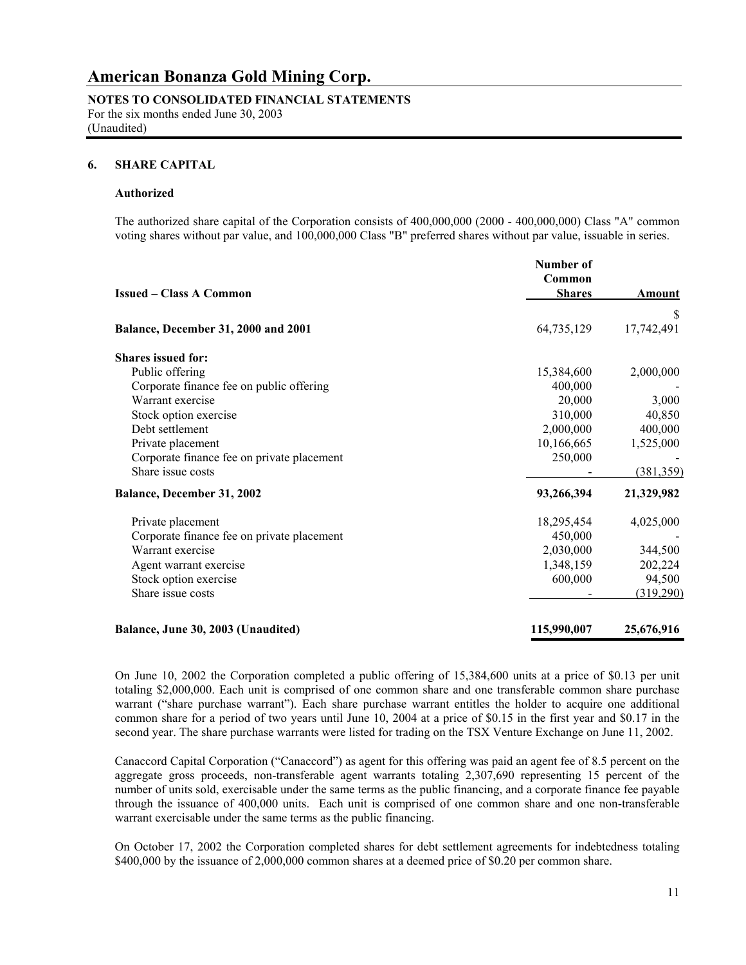**NOTES TO CONSOLIDATED FINANCIAL STATEMENTS** For the six months ended June 30, 2003

(Unaudited)

#### **6. SHARE CAPITAL**

#### **Authorized**

The authorized share capital of the Corporation consists of 400,000,000 (2000 - 400,000,000) Class "A" common voting shares without par value, and 100,000,000 Class "B" preferred shares without par value, issuable in series.

|                                            | Number of<br>Common |            |
|--------------------------------------------|---------------------|------------|
| <b>Issued – Class A Common</b>             | <b>Shares</b>       | Amount     |
|                                            |                     | S          |
| Balance, December 31, 2000 and 2001        | 64,735,129          | 17,742,491 |
| <b>Shares issued for:</b>                  |                     |            |
| Public offering                            | 15,384,600          | 2,000,000  |
| Corporate finance fee on public offering   | 400,000             |            |
| Warrant exercise                           | 20,000              | 3,000      |
| Stock option exercise                      | 310,000             | 40,850     |
| Debt settlement                            | 2,000,000           | 400,000    |
| Private placement                          | 10,166,665          | 1,525,000  |
| Corporate finance fee on private placement | 250,000             |            |
| Share issue costs                          |                     | (381, 359) |
| Balance, December 31, 2002                 | 93,266,394          | 21,329,982 |
| Private placement                          | 18,295,454          | 4,025,000  |
| Corporate finance fee on private placement | 450,000             |            |
| Warrant exercise                           | 2,030,000           | 344,500    |
| Agent warrant exercise                     | 1,348,159           | 202,224    |
| Stock option exercise                      | 600,000             | 94,500     |
| Share issue costs                          |                     | (319,290)  |
| Balance, June 30, 2003 (Unaudited)         | 115,990,007         | 25,676,916 |

 On June 10, 2002 the Corporation completed a public offering of 15,384,600 units at a price of \$0.13 per unit totaling \$2,000,000. Each unit is comprised of one common share and one transferable common share purchase warrant ("share purchase warrant"). Each share purchase warrant entitles the holder to acquire one additional common share for a period of two years until June 10, 2004 at a price of \$0.15 in the first year and \$0.17 in the second year. The share purchase warrants were listed for trading on the TSX Venture Exchange on June 11, 2002.

Canaccord Capital Corporation ("Canaccord") as agent for this offering was paid an agent fee of 8.5 percent on the aggregate gross proceeds, non-transferable agent warrants totaling 2,307,690 representing 15 percent of the number of units sold, exercisable under the same terms as the public financing, and a corporate finance fee payable through the issuance of 400,000 units. Each unit is comprised of one common share and one non-transferable warrant exercisable under the same terms as the public financing.

On October 17, 2002 the Corporation completed shares for debt settlement agreements for indebtedness totaling \$400,000 by the issuance of 2,000,000 common shares at a deemed price of \$0.20 per common share.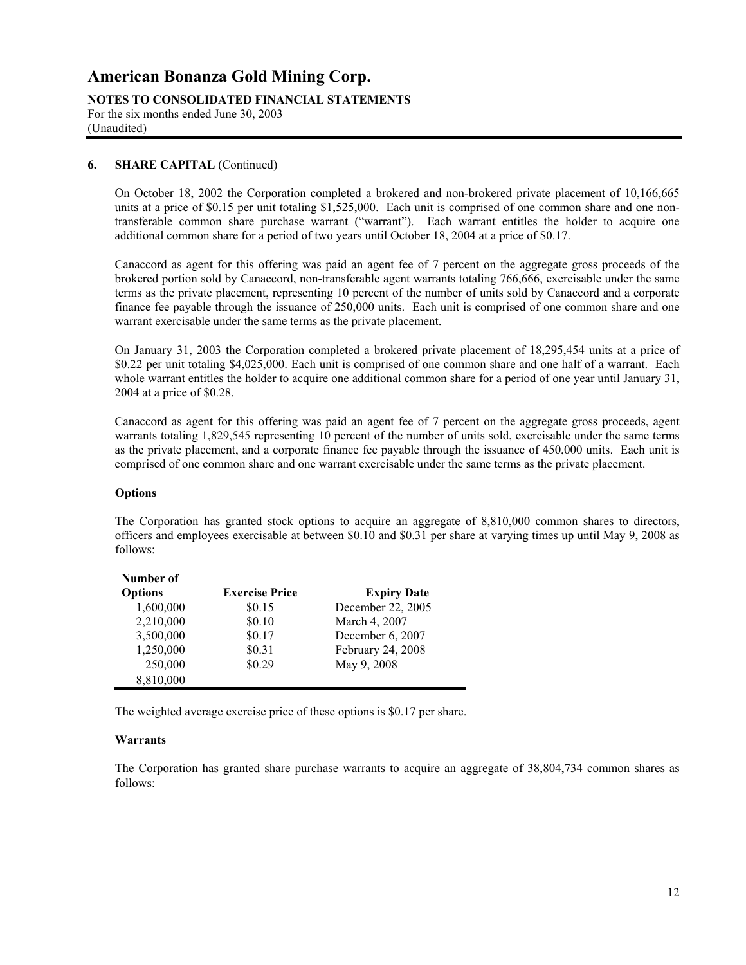**NOTES TO CONSOLIDATED FINANCIAL STATEMENTS** For the six months ended June 30, 2003 (Unaudited)

#### **6. SHARE CAPITAL** (Continued)

On October 18, 2002 the Corporation completed a brokered and non-brokered private placement of 10,166,665 units at a price of \$0.15 per unit totaling \$1,525,000. Each unit is comprised of one common share and one nontransferable common share purchase warrant ("warrant"). Each warrant entitles the holder to acquire one additional common share for a period of two years until October 18, 2004 at a price of \$0.17.

Canaccord as agent for this offering was paid an agent fee of 7 percent on the aggregate gross proceeds of the brokered portion sold by Canaccord, non-transferable agent warrants totaling 766,666, exercisable under the same terms as the private placement, representing 10 percent of the number of units sold by Canaccord and a corporate finance fee payable through the issuance of 250,000 units. Each unit is comprised of one common share and one warrant exercisable under the same terms as the private placement.

On January 31, 2003 the Corporation completed a brokered private placement of 18,295,454 units at a price of \$0.22 per unit totaling \$4,025,000. Each unit is comprised of one common share and one half of a warrant. Each whole warrant entitles the holder to acquire one additional common share for a period of one year until January 31, 2004 at a price of \$0.28.

Canaccord as agent for this offering was paid an agent fee of 7 percent on the aggregate gross proceeds, agent warrants totaling 1,829,545 representing 10 percent of the number of units sold, exercisable under the same terms as the private placement, and a corporate finance fee payable through the issuance of 450,000 units. Each unit is comprised of one common share and one warrant exercisable under the same terms as the private placement.

#### **Options**

 The Corporation has granted stock options to acquire an aggregate of 8,810,000 common shares to directors, officers and employees exercisable at between \$0.10 and \$0.31 per share at varying times up until May 9, 2008 as follows:

| Number of      |                       |                    |
|----------------|-----------------------|--------------------|
| <b>Options</b> | <b>Exercise Price</b> | <b>Expiry Date</b> |
| 1,600,000      | \$0.15                | December 22, 2005  |
| 2,210,000      | \$0.10                | March 4, 2007      |
| 3,500,000      | \$0.17                | December 6, 2007   |
| 1,250,000      | \$0.31                | February 24, 2008  |
| 250,000        | \$0.29                | May 9, 2008        |
| 8,810,000      |                       |                    |

The weighted average exercise price of these options is \$0.17 per share.

#### **Warrants**

 The Corporation has granted share purchase warrants to acquire an aggregate of 38,804,734 common shares as follows: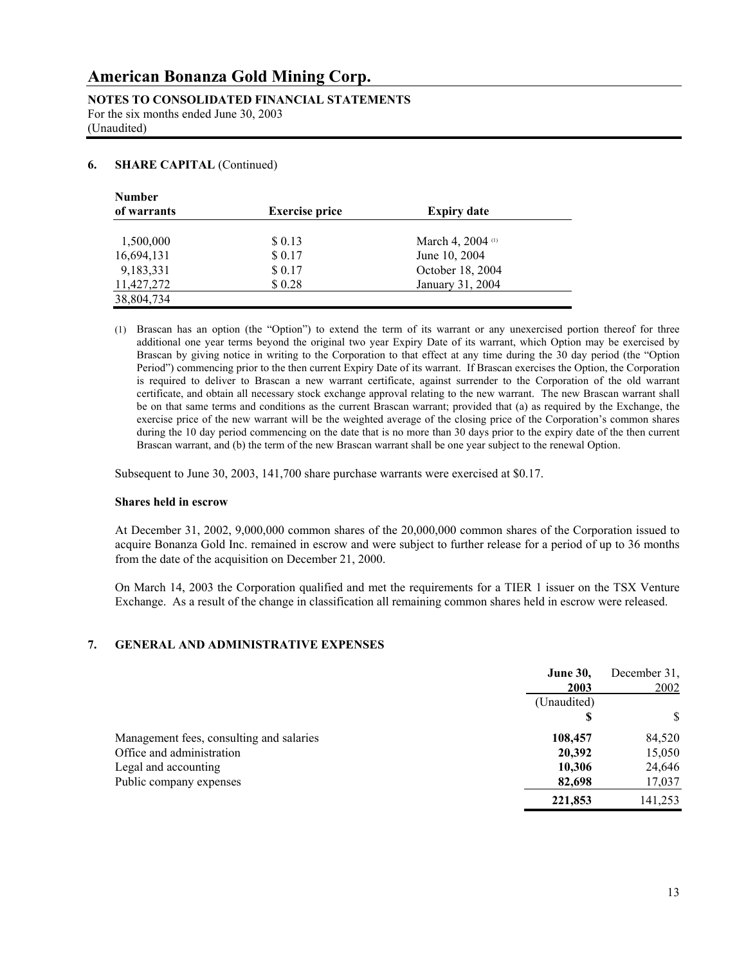**NOTES TO CONSOLIDATED FINANCIAL STATEMENTS** For the six months ended June 30, 2003 (Unaudited)

### **6. SHARE CAPITAL** (Continued)

| <b>Number</b> |                       |                    |  |
|---------------|-----------------------|--------------------|--|
| of warrants   | <b>Exercise price</b> | <b>Expiry date</b> |  |
| 1,500,000     | \$ 0.13               | March 4, 2004 (1)  |  |
| 16,694,131    | \$0.17                | June 10, 2004      |  |
| 9,183,331     | \$0.17                | October 18, 2004   |  |
| 11,427,272    | \$0.28                | January 31, 2004   |  |
| 38,804,734    |                       |                    |  |

(1) Brascan has an option (the "Option") to extend the term of its warrant or any unexercised portion thereof for three additional one year terms beyond the original two year Expiry Date of its warrant, which Option may be exercised by Brascan by giving notice in writing to the Corporation to that effect at any time during the 30 day period (the "Option Period") commencing prior to the then current Expiry Date of its warrant. If Brascan exercises the Option, the Corporation is required to deliver to Brascan a new warrant certificate, against surrender to the Corporation of the old warrant certificate, and obtain all necessary stock exchange approval relating to the new warrant. The new Brascan warrant shall be on that same terms and conditions as the current Brascan warrant; provided that (a) as required by the Exchange, the exercise price of the new warrant will be the weighted average of the closing price of the Corporation's common shares during the 10 day period commencing on the date that is no more than 30 days prior to the expiry date of the then current Brascan warrant, and (b) the term of the new Brascan warrant shall be one year subject to the renewal Option.

Subsequent to June 30, 2003, 141,700 share purchase warrants were exercised at \$0.17.

#### **Shares held in escrow**

 At December 31, 2002, 9,000,000 common shares of the 20,000,000 common shares of the Corporation issued to acquire Bonanza Gold Inc. remained in escrow and were subject to further release for a period of up to 36 months from the date of the acquisition on December 21, 2000.

 On March 14, 2003 the Corporation qualified and met the requirements for a TIER 1 issuer on the TSX Venture Exchange. As a result of the change in classification all remaining common shares held in escrow were released.

## **7. GENERAL AND ADMINISTRATIVE EXPENSES**

|                                          | <b>June 30,</b> | December 31, |
|------------------------------------------|-----------------|--------------|
|                                          | 2003            | 2002         |
|                                          | (Unaudited)     |              |
|                                          | S               | \$           |
| Management fees, consulting and salaries | 108,457         | 84,520       |
| Office and administration                | 20,392          | 15,050       |
| Legal and accounting                     | 10,306          | 24,646       |
| Public company expenses                  | 82,698          | 17,037       |
|                                          | 221,853         | 141,253      |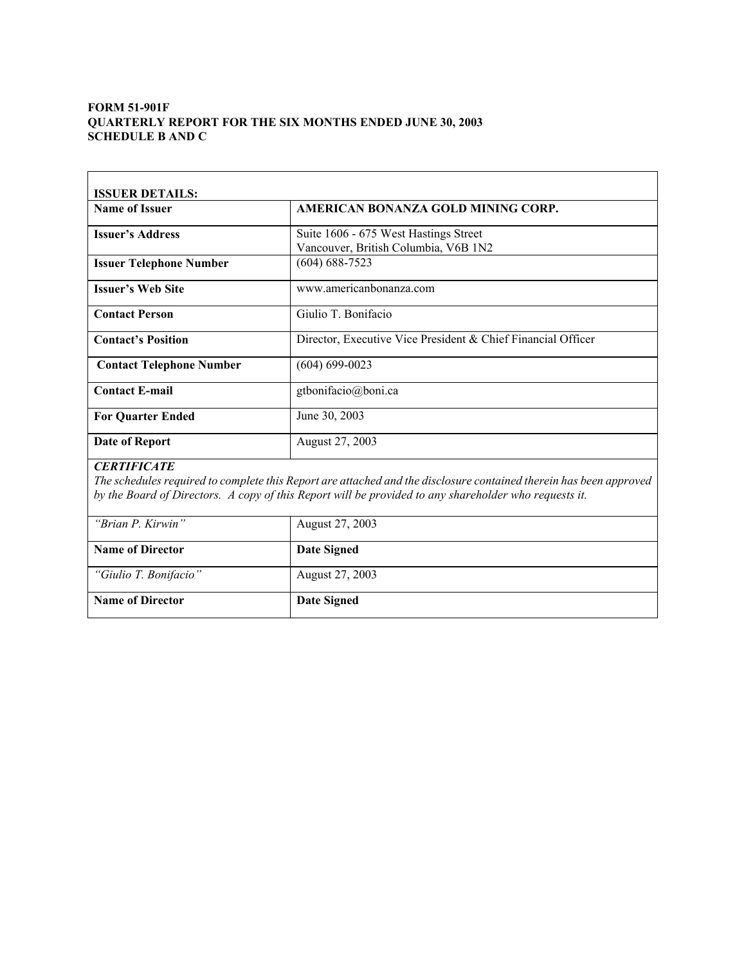### **FORM 51-901F QUARTERLY REPORT FOR THE SIX MONTHS ENDED JUNE 30, 2003 SCHEDULE B AND C**

| <b>ISSUER DETAILS:</b>          |                                                                               |
|---------------------------------|-------------------------------------------------------------------------------|
| <b>Name of Issuer</b>           | AMERICAN BONANZA GOLD MINING CORP.                                            |
| <b>Issuer's Address</b>         | Suite 1606 - 675 West Hastings Street<br>Vancouver, British Columbia, V6B 1N2 |
| <b>Issuer Telephone Number</b>  | $(604) 688 - 7523$                                                            |
| <b>Issuer's Web Site</b>        | www.americanbonanza.com                                                       |
| <b>Contact Person</b>           | Giulio T. Bonifacio                                                           |
| <b>Contact's Position</b>       | Director, Executive Vice President & Chief Financial Officer                  |
| <b>Contact Telephone Number</b> | $(604) 699 - 0023$                                                            |
| <b>Contact E-mail</b>           | gtbonifacio@boni.ca                                                           |
| <b>For Quarter Ended</b>        | June 30, 2003                                                                 |
| Date of Report                  | August 27, 2003                                                               |
| <b>CERTIFICATE</b>              |                                                                               |

*The schedules required to complete this Report are attached and the disclosure contained therein has been approved by the Board of Directors. A copy of this Report will be provided to any shareholder who requests it.* 

| "Brian P. Kirwin"       | August 27, 2003 |
|-------------------------|-----------------|
| <b>Name of Director</b> | Date Signed     |
| "Giulio T. Bonifacio"   | August 27, 2003 |
| <b>Name of Director</b> | Date Signed     |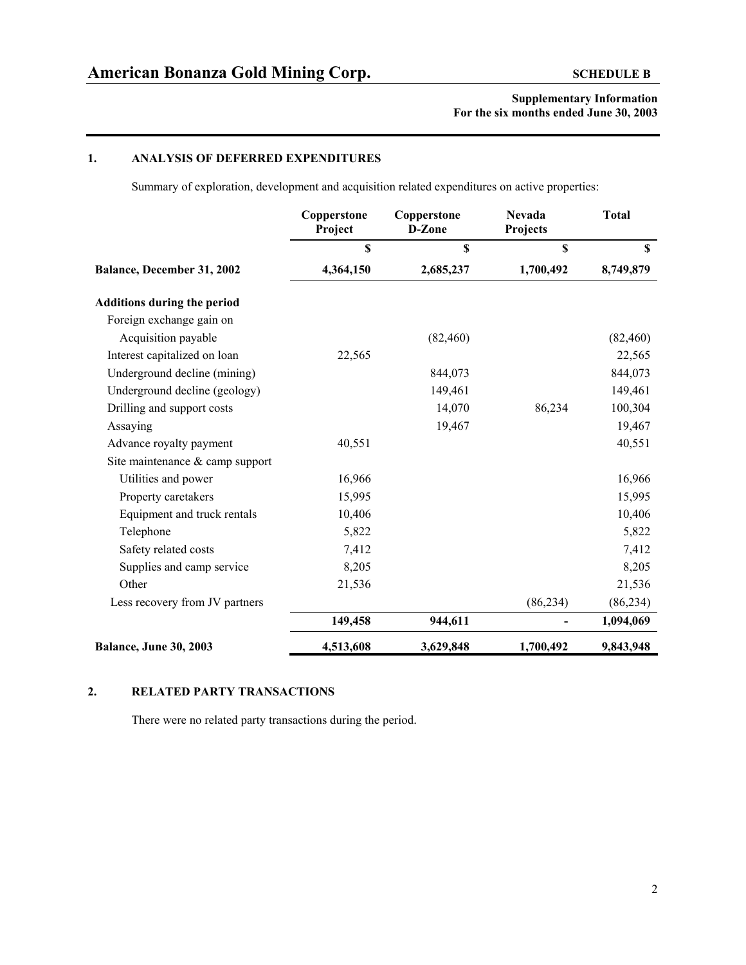### **1. ANALYSIS OF DEFERRED EXPENDITURES**

Summary of exploration, development and acquisition related expenditures on active properties:

|                                    | Copperstone<br>Project | Copperstone<br>D-Zone | <b>Nevada</b><br>Projects | <b>Total</b> |
|------------------------------------|------------------------|-----------------------|---------------------------|--------------|
|                                    | \$                     | \$                    | \$                        | $\mathbf S$  |
| Balance, December 31, 2002         | 4,364,150              | 2,685,237             | 1,700,492                 | 8,749,879    |
| <b>Additions during the period</b> |                        |                       |                           |              |
| Foreign exchange gain on           |                        |                       |                           |              |
| Acquisition payable                |                        | (82, 460)             |                           | (82, 460)    |
| Interest capitalized on loan       | 22,565                 |                       |                           | 22,565       |
| Underground decline (mining)       |                        | 844,073               |                           | 844,073      |
| Underground decline (geology)      |                        | 149,461               |                           | 149,461      |
| Drilling and support costs         |                        | 14,070                | 86,234                    | 100,304      |
| Assaying                           |                        | 19,467                |                           | 19,467       |
| Advance royalty payment            | 40,551                 |                       |                           | 40,551       |
| Site maintenance & camp support    |                        |                       |                           |              |
| Utilities and power                | 16,966                 |                       |                           | 16,966       |
| Property caretakers                | 15,995                 |                       |                           | 15,995       |
| Equipment and truck rentals        | 10,406                 |                       |                           | 10,406       |
| Telephone                          | 5,822                  |                       |                           | 5,822        |
| Safety related costs               | 7,412                  |                       |                           | 7,412        |
| Supplies and camp service          | 8,205                  |                       |                           | 8,205        |
| Other                              | 21,536                 |                       |                           | 21,536       |
| Less recovery from JV partners     |                        |                       | (86, 234)                 | (86, 234)    |
|                                    | 149,458                | 944,611               |                           | 1,094,069    |
| <b>Balance, June 30, 2003</b>      | 4,513,608              | 3,629,848             | 1,700,492                 | 9,843,948    |

## **2. RELATED PARTY TRANSACTIONS**

There were no related party transactions during the period.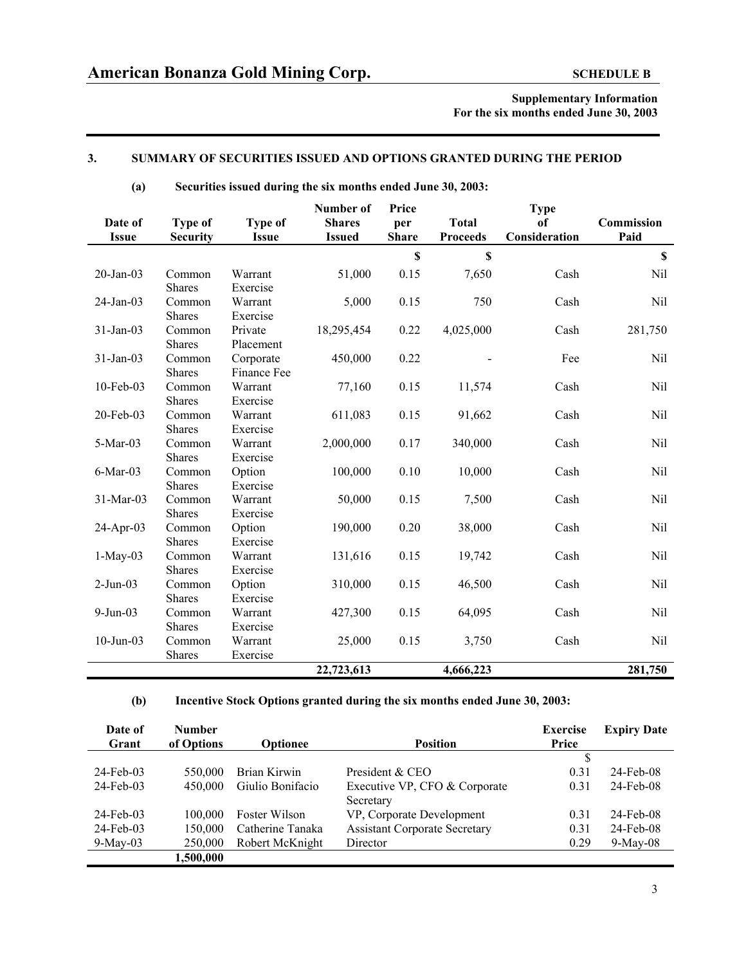### **3. SUMMARY OF SECURITIES ISSUED AND OPTIONS GRANTED DURING THE PERIOD**

#### **(a) Securities issued during the six months ended June 30, 2003:**

|              |                 |                | Number of     | Price        |                 | <b>Type</b>   |                           |
|--------------|-----------------|----------------|---------------|--------------|-----------------|---------------|---------------------------|
| Date of      | <b>Type of</b>  | <b>Type of</b> | <b>Shares</b> | per          | <b>Total</b>    | of            | Commission                |
| <b>Issue</b> | <b>Security</b> | <b>Issue</b>   | <b>Issued</b> | <b>Share</b> | <b>Proceeds</b> | Consideration | Paid                      |
|              |                 |                |               | \$           | \$              |               | $\boldsymbol{\mathsf{S}}$ |
| $20$ -Jan-03 | Common          | Warrant        | 51,000        | 0.15         | 7,650           | Cash          | Nil                       |
|              | <b>Shares</b>   | Exercise       |               |              |                 |               |                           |
| $24$ -Jan-03 | Common          | Warrant        | 5,000         | 0.15         | 750             | Cash          | Nil                       |
|              | <b>Shares</b>   | Exercise       |               |              |                 |               |                           |
| $31-Jan-03$  | Common          | Private        | 18,295,454    | 0.22         | 4,025,000       | Cash          | 281,750                   |
|              | <b>Shares</b>   | Placement      |               |              |                 |               |                           |
| 31-Jan-03    | Common          | Corporate      | 450,000       | 0.22         |                 | Fee           | Nil                       |
|              | <b>Shares</b>   | Finance Fee    |               |              |                 |               |                           |
| 10-Feb-03    | Common          | Warrant        | 77,160        | 0.15         | 11,574          | Cash          | Nil                       |
|              | <b>Shares</b>   | Exercise       |               |              |                 |               |                           |
| 20-Feb-03    | Common          | Warrant        | 611,083       | 0.15         | 91,662          | Cash          | Nil                       |
|              | <b>Shares</b>   | Exercise       |               |              |                 |               |                           |
| $5-Mar-03$   | Common          | Warrant        | 2,000,000     | 0.17         | 340,000         | Cash          | Nil                       |
|              | <b>Shares</b>   | Exercise       |               |              |                 |               |                           |
| $6$ -Mar-03  | Common          | Option         | 100,000       | 0.10         | 10,000          | Cash          | Nil                       |
|              | <b>Shares</b>   | Exercise       |               |              |                 |               |                           |
| 31-Mar-03    | Common          | Warrant        | 50,000        | 0.15         | 7,500           | Cash          | Nil                       |
|              | <b>Shares</b>   | Exercise       |               |              |                 |               |                           |
| 24-Apr-03    | Common          | Option         | 190,000       | 0.20         | 38,000          | Cash          | Nil                       |
|              | <b>Shares</b>   | Exercise       |               |              |                 |               |                           |
| $1-May-03$   | Common          | Warrant        | 131,616       | 0.15         | 19,742          | Cash          | Nil                       |
|              | <b>Shares</b>   | Exercise       |               |              |                 |               |                           |
| $2-Jun-03$   | Common          | Option         | 310,000       | 0.15         | 46,500          | Cash          | Nil                       |
|              | <b>Shares</b>   | Exercise       |               |              |                 |               |                           |
| $9-Jun-03$   | Common          | Warrant        | 427,300       | 0.15         | 64,095          | Cash          | Nil                       |
|              | <b>Shares</b>   | Exercise       |               |              |                 |               |                           |
| $10$ -Jun-03 | Common          | Warrant        | 25,000        | 0.15         | 3,750           | Cash          | Nil                       |
|              | Shares          | Exercise       |               |              |                 |               |                           |
|              |                 |                | 22,723,613    |              | 4,666,223       |               | 281,750                   |

### **(b) Incentive Stock Options granted during the six months ended June 30, 2003:**

| Date of      | <b>Number</b> |                  |                                      | <b>Exercise</b> | <b>Expiry Date</b> |
|--------------|---------------|------------------|--------------------------------------|-----------------|--------------------|
| Grant        | of Options    | <b>Optionee</b>  | <b>Position</b>                      | Price           |                    |
|              |               |                  |                                      |                 |                    |
| $24$ -Feb-03 | 550,000       | Brian Kirwin     | President & CEO                      | 0.31            | $24$ -Feb-08       |
| $24$ -Feb-03 | 450,000       | Giulio Bonifacio | Executive VP, CFO & Corporate        | 0.31            | $24$ -Feb-08       |
|              |               |                  | Secretary                            |                 |                    |
| 24-Feb-03    | 100,000       | Foster Wilson    | VP, Corporate Development            | 0.31            | 24-Feb-08          |
| $24$ -Feb-03 | 150,000       | Catherine Tanaka | <b>Assistant Corporate Secretary</b> | 0.31            | 24-Feb-08          |
| $9$ -May-03  | 250,000       | Robert McKnight  | Director                             | 0.29            | $9$ -May-08        |
|              | 1,500,000     |                  |                                      |                 |                    |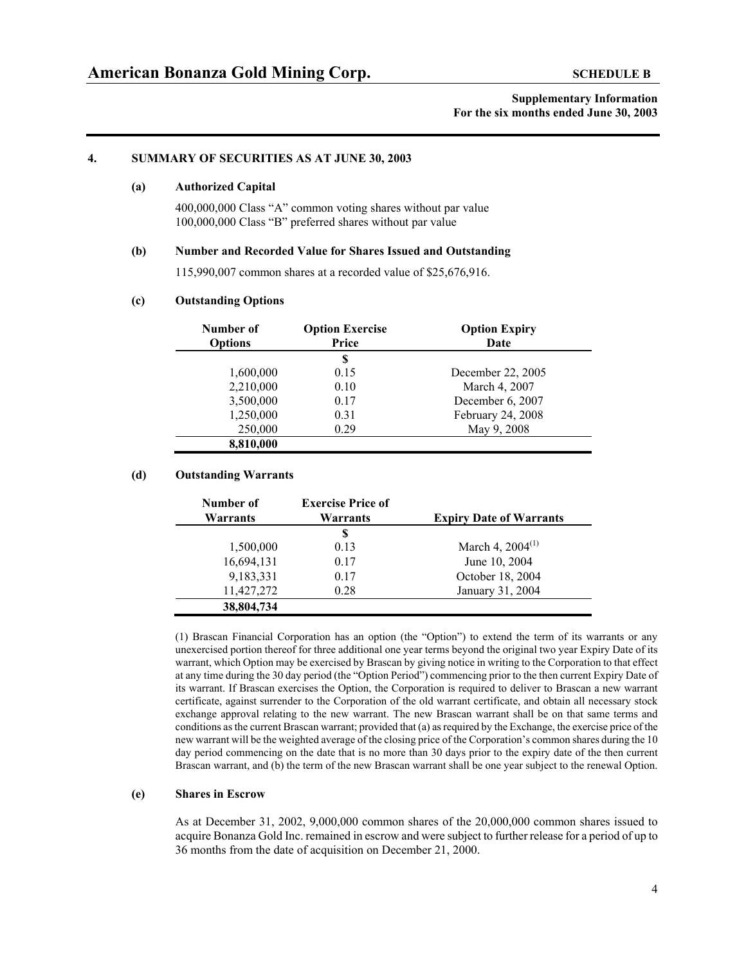#### **4. SUMMARY OF SECURITIES AS AT JUNE 30, 2003**

#### **(a) Authorized Capital**

400,000,000 Class "A" common voting shares without par value 100,000,000 Class "B" preferred shares without par value

#### **(b) Number and Recorded Value for Shares Issued and Outstanding**

115,990,007 common shares at a recorded value of \$25,676,916.

#### **(c) Outstanding Options**

| Number of<br><b>Options</b> | <b>Option Exercise</b><br>Price | <b>Option Expiry</b><br>Date |
|-----------------------------|---------------------------------|------------------------------|
|                             | S                               |                              |
| 1,600,000                   | 0.15                            | December 22, 2005            |
| 2,210,000                   | 0.10                            | March 4, 2007                |
| 3,500,000                   | 0.17                            | December 6, 2007             |
| 1,250,000                   | 0.31                            | February 24, 2008            |
| 250,000                     | 0.29                            | May 9, 2008                  |
| 8,810,000                   |                                 |                              |

#### **(d) Outstanding Warrants**

| Number of<br>Warrants | <b>Exercise Price of</b><br>Warrants | <b>Expiry Date of Warrants</b> |
|-----------------------|--------------------------------------|--------------------------------|
|                       | S                                    |                                |
| 1,500,000             | 0.13                                 | March 4, $2004^{(1)}$          |
| 16,694,131            | 0.17                                 | June 10, 2004                  |
| 9,183,331             | 0.17                                 | October 18, 2004               |
| 11,427,272            | 0.28                                 | January 31, 2004               |
| 38,804,734            |                                      |                                |

 (1) Brascan Financial Corporation has an option (the "Option") to extend the term of its warrants or any unexercised portion thereof for three additional one year terms beyond the original two year Expiry Date of its warrant, which Option may be exercised by Brascan by giving notice in writing to the Corporation to that effect at any time during the 30 day period (the "Option Period") commencing prior to the then current Expiry Date of its warrant. If Brascan exercises the Option, the Corporation is required to deliver to Brascan a new warrant certificate, against surrender to the Corporation of the old warrant certificate, and obtain all necessary stock exchange approval relating to the new warrant. The new Brascan warrant shall be on that same terms and conditions as the current Brascan warrant; provided that (a) as required by the Exchange, the exercise price of the new warrant will be the weighted average of the closing price of the Corporation's common shares during the 10 day period commencing on the date that is no more than 30 days prior to the expiry date of the then current Brascan warrant, and (b) the term of the new Brascan warrant shall be one year subject to the renewal Option.

#### **(e) Shares in Escrow**

As at December 31, 2002, 9,000,000 common shares of the 20,000,000 common shares issued to acquire Bonanza Gold Inc. remained in escrow and were subject to further release for a period of up to 36 months from the date of acquisition on December 21, 2000.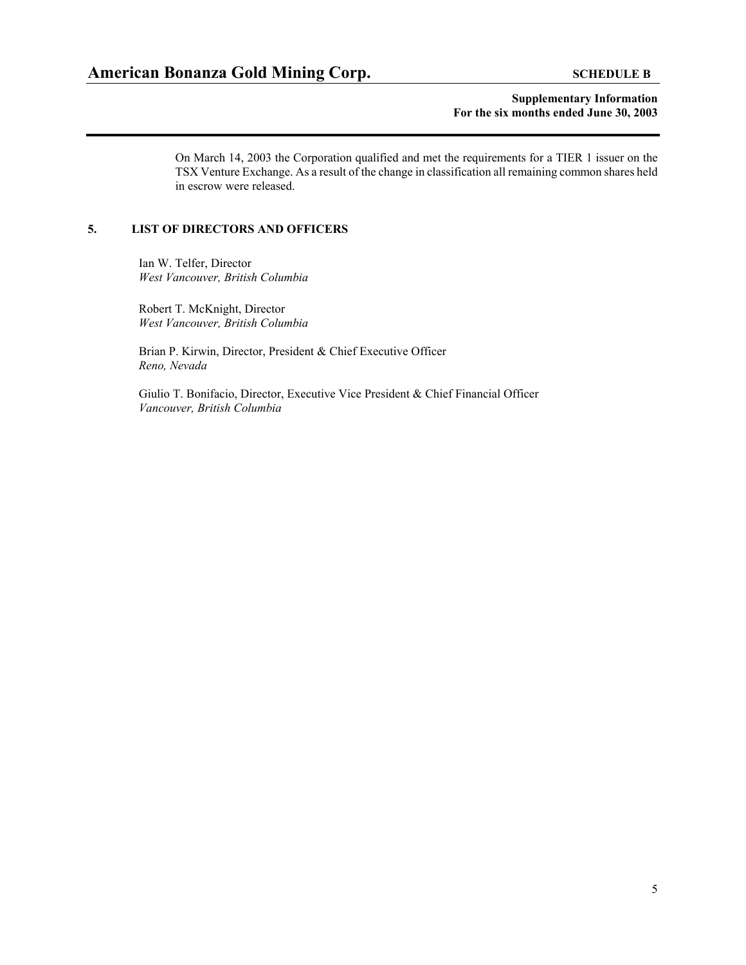On March 14, 2003 the Corporation qualified and met the requirements for a TIER 1 issuer on the TSX Venture Exchange. As a result of the change in classification all remaining common shares held in escrow were released.

#### **5. LIST OF DIRECTORS AND OFFICERS**

Ian W. Telfer, Director *West Vancouver, British Columbia* 

Robert T. McKnight, Director *West Vancouver, British Columbia* 

Brian P. Kirwin, Director, President & Chief Executive Officer *Reno, Nevada*

Giulio T. Bonifacio, Director, Executive Vice President & Chief Financial Officer *Vancouver, British Columbia*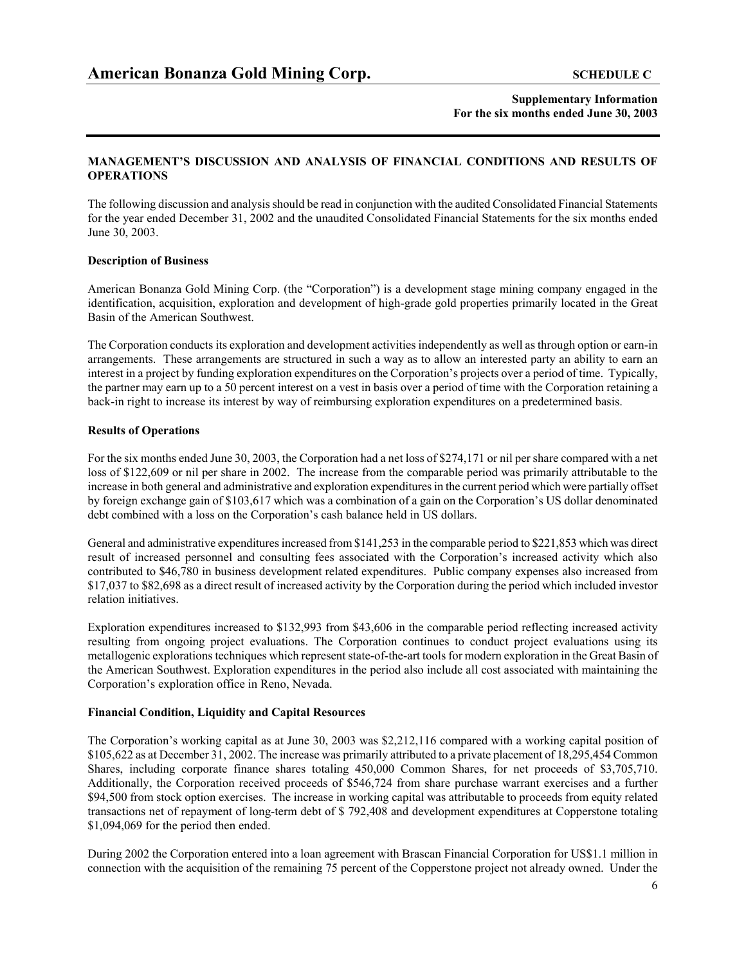### **MANAGEMENT'S DISCUSSION AND ANALYSIS OF FINANCIAL CONDITIONS AND RESULTS OF OPERATIONS**

The following discussion and analysis should be read in conjunction with the audited Consolidated Financial Statements for the year ended December 31, 2002 and the unaudited Consolidated Financial Statements for the six months ended June 30, 2003.

#### **Description of Business**

American Bonanza Gold Mining Corp. (the "Corporation") is a development stage mining company engaged in the identification, acquisition, exploration and development of high-grade gold properties primarily located in the Great Basin of the American Southwest.

The Corporation conducts its exploration and development activities independently as well as through option or earn-in arrangements. These arrangements are structured in such a way as to allow an interested party an ability to earn an interest in a project by funding exploration expenditures on the Corporation's projects over a period of time. Typically, the partner may earn up to a 50 percent interest on a vest in basis over a period of time with the Corporation retaining a back-in right to increase its interest by way of reimbursing exploration expenditures on a predetermined basis.

### **Results of Operations**

For the six months ended June 30, 2003, the Corporation had a net loss of \$274,171 or nil per share compared with a net loss of \$122,609 or nil per share in 2002. The increase from the comparable period was primarily attributable to the increase in both general and administrative and exploration expenditures in the current period which were partially offset by foreign exchange gain of \$103,617 which was a combination of a gain on the Corporation's US dollar denominated debt combined with a loss on the Corporation's cash balance held in US dollars.

General and administrative expenditures increased from \$141,253 in the comparable period to \$221,853 which was direct result of increased personnel and consulting fees associated with the Corporation's increased activity which also contributed to \$46,780 in business development related expenditures. Public company expenses also increased from \$17,037 to \$82,698 as a direct result of increased activity by the Corporation during the period which included investor relation initiatives.

Exploration expenditures increased to \$132,993 from \$43,606 in the comparable period reflecting increased activity resulting from ongoing project evaluations. The Corporation continues to conduct project evaluations using its metallogenic explorations techniques which represent state-of-the-art tools for modern exploration in the Great Basin of the American Southwest. Exploration expenditures in the period also include all cost associated with maintaining the Corporation's exploration office in Reno, Nevada.

#### **Financial Condition, Liquidity and Capital Resources**

The Corporation's working capital as at June 30, 2003 was \$2,212,116 compared with a working capital position of \$105,622 as at December 31, 2002. The increase was primarily attributed to a private placement of 18,295,454 Common Shares, including corporate finance shares totaling 450,000 Common Shares, for net proceeds of \$3,705,710. Additionally, the Corporation received proceeds of \$546,724 from share purchase warrant exercises and a further \$94,500 from stock option exercises. The increase in working capital was attributable to proceeds from equity related transactions net of repayment of long-term debt of \$ 792,408 and development expenditures at Copperstone totaling \$1,094,069 for the period then ended.

During 2002 the Corporation entered into a loan agreement with Brascan Financial Corporation for US\$1.1 million in connection with the acquisition of the remaining 75 percent of the Copperstone project not already owned. Under the